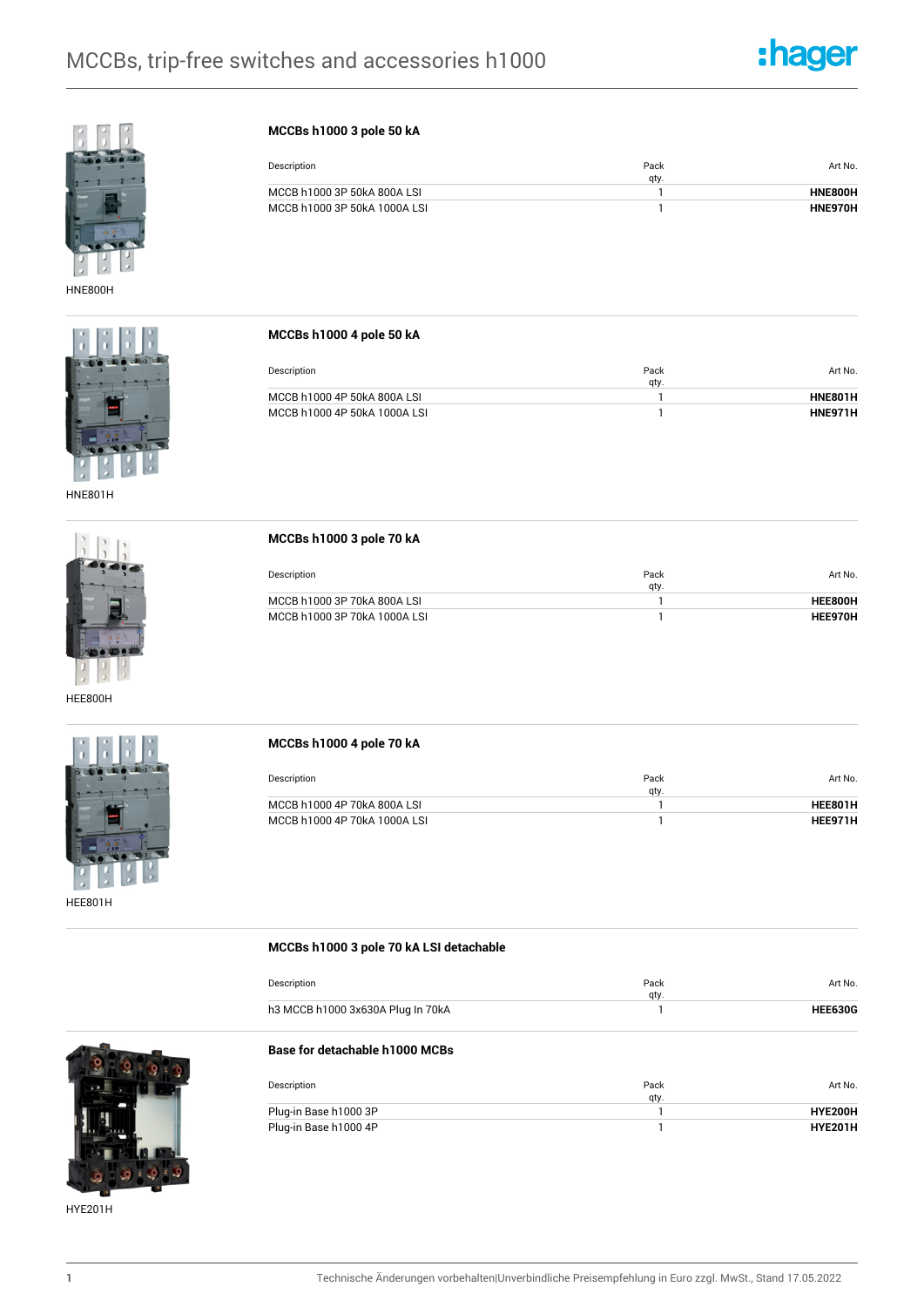



HNE800H



HNE801H



HEE800H



HEE801H

## **MCCBs h1000 3 pole 50 kA**

| Description                  | Pack<br>qty. | Art No. |
|------------------------------|--------------|---------|
| MCCB h1000 3P 50kA 800A LSI  |              | HNE800H |
| MCCB h1000 3P 50kA 1000A LSI |              | HNE970H |

**MCCBs h1000 4 pole 50 kA**

| Description                  | Pack<br>qty. | Art No.        |
|------------------------------|--------------|----------------|
| MCCB h1000 4P 50kA 800A LSI  |              | <b>HNE801H</b> |
| MCCB h1000 4P 50kA 1000A LSI |              | HNF971H        |

**MCCBs h1000 3 pole 70 kA**

**MCCBs h1000 3 pole 70 kA LSI detachable**

| Description                  | Pack<br>gty. | Art No. |
|------------------------------|--------------|---------|
| MCCB h1000 3P 70kA 800A LSI  |              | HFF800H |
| MCCB h1000 3P 70kA 1000A LSI |              | HFF970H |

| MCCBs h1000 4 pole 70 kA     |              |         |
|------------------------------|--------------|---------|
| Description                  | Pack<br>qty. | Art No. |
| MCCB h1000 4P 70kA 800A LSI  |              | HEE801H |
| MCCB h1000 4P 70kA 1000A LSI |              | HEE971H |

| Description                       | Pack<br>qty. | Art No.        |
|-----------------------------------|--------------|----------------|
| h3 MCCB h1000 3x630A Plug In 70kA |              | <b>HEE630G</b> |
| Base for detachable h1000 MCBs    |              |                |
| Description                       | Pack         | Art No.        |
|                                   | qty.         |                |
| Plug-in Base h1000 3P             |              | HYE200H        |

HYE201H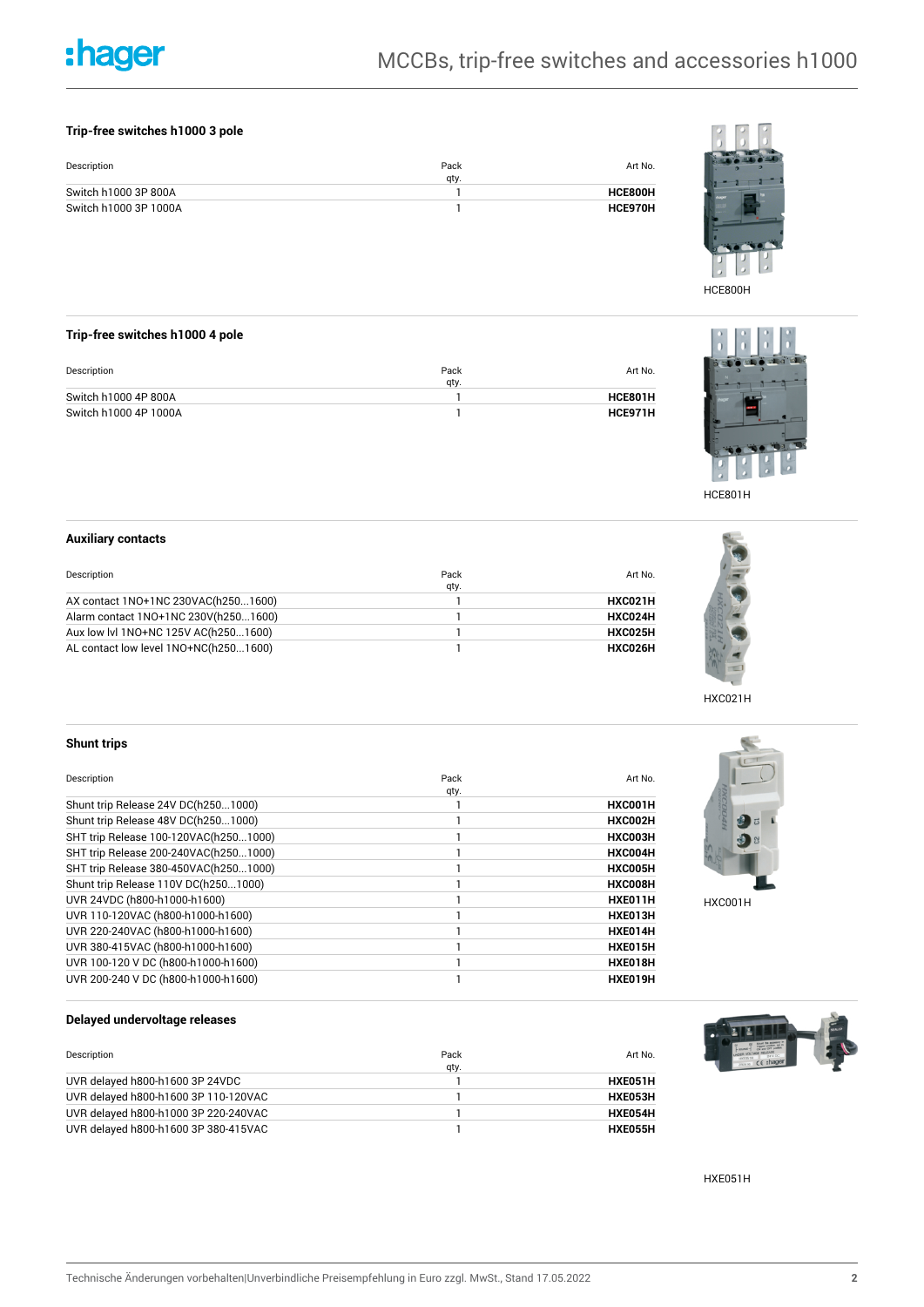# :hager

## **Trip-free switches h1000 3 pole**

| Description           | Pack<br>qty. | Art No. |
|-----------------------|--------------|---------|
| Switch h1000 3P 800A  |              | HCE800H |
| Switch h1000 3P 1000A |              | HCE970H |



HCE800H

## **Trip-free switches h1000 4 pole**

| Description           | Pack<br>qty. | Art No. |
|-----------------------|--------------|---------|
| Switch h1000 4P 800A  |              | HCE801H |
| Switch h1000 4P 1000A |              | HCE971H |



HCE801H

## **Auxiliary contacts**

| Description                           | Pack<br>qty. | Art No. |
|---------------------------------------|--------------|---------|
| AX contact 1NO+1NC 230VAC(h2501600)   |              | HXC021H |
| Alarm contact 1NO+1NC 230V(h2501600)  |              | HXC024H |
| Aux low lvl 1NO+NC 125V AC(h2501600)  |              | HXC025H |
| AL contact low level 1NO+NC(h2501600) |              | HXC026H |



## **Shunt trips**

| Description                           | Pack | Art No. |
|---------------------------------------|------|---------|
|                                       | qty. |         |
| Shunt trip Release 24V DC(h2501000)   |      | HXC001H |
| Shunt trip Release 48V DC(h2501000)   |      | HXC002H |
| SHT trip Release 100-120VAC(h2501000) |      | HXC003H |
| SHT trip Release 200-240VAC(h2501000) |      | HXC004H |
| SHT trip Release 380-450VAC(h2501000) |      | HXC005H |
| Shunt trip Release 110V DC(h2501000)  |      | HXC008H |
| UVR 24VDC (h800-h1000-h1600)          |      | HXE011H |
| UVR 110-120VAC (h800-h1000-h1600)     |      | HXE013H |
| UVR 220-240VAC (h800-h1000-h1600)     |      | HXE014H |
| UVR 380-415VAC (h800-h1000-h1600)     |      | HXE015H |
| UVR 100-120 V DC (h800-h1000-h1600)   |      | HXE018H |
| UVR 200-240 V DC (h800-h1000-h1600)   |      | HXE019H |



HXC001H

**Delayed undervoltage releases**

| Description                          | Pack<br>qty. | Art No. |
|--------------------------------------|--------------|---------|
| UVR delayed h800-h1600 3P 24VDC      |              | HXE051H |
| UVR delayed h800-h1600 3P 110-120VAC |              | HXE053H |
| UVR delayed h800-h1000 3P 220-240VAC |              | HXE054H |
| UVR delayed h800-h1600 3P 380-415VAC |              | HXE055H |



HXE051H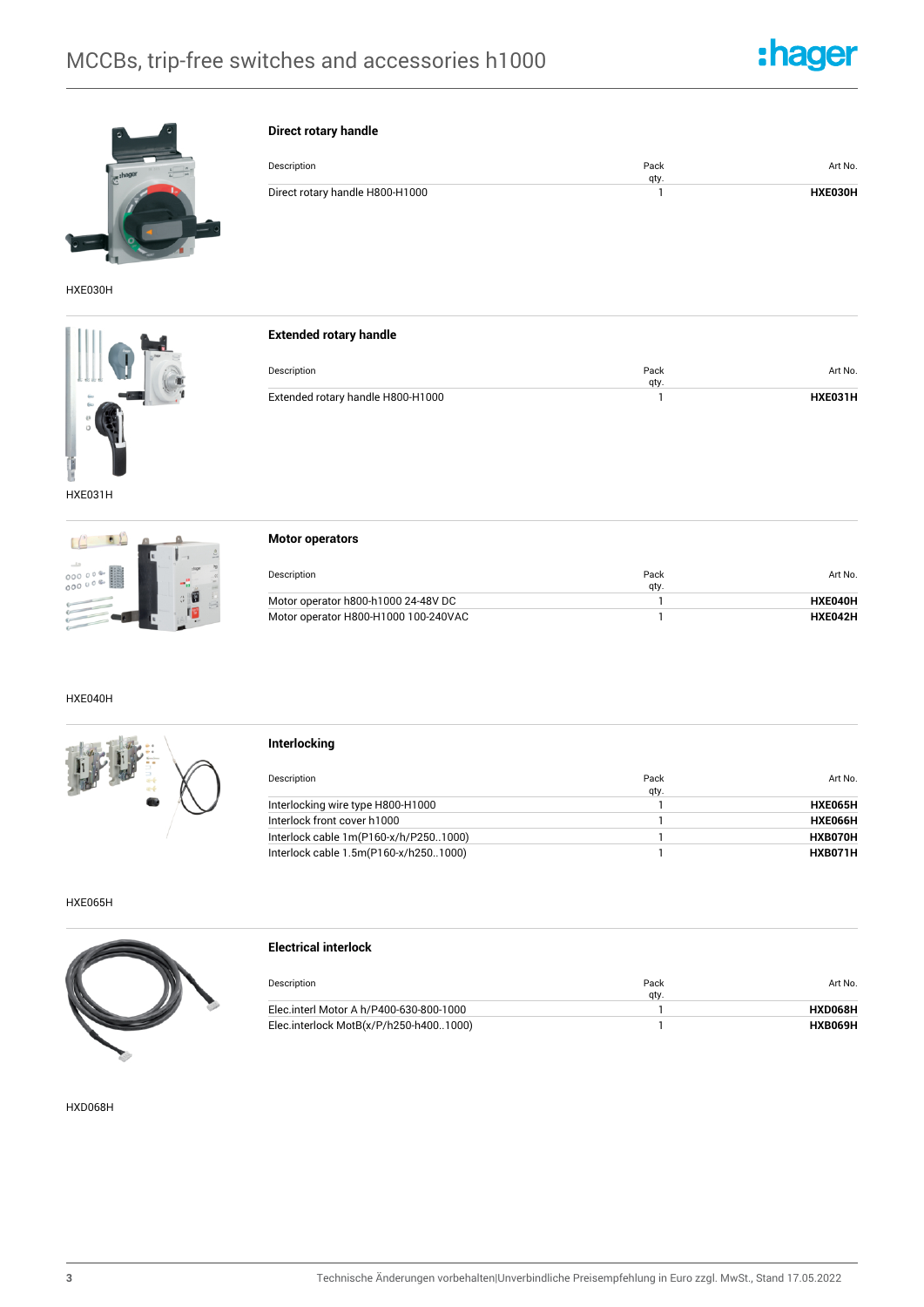**Direct rotary handle**



Art No.



HXE030H





| Description                       | Pack | Art No. |
|-----------------------------------|------|---------|
|                                   | qty. |         |
| Extended rotary handle H800-H1000 |      | HXE031H |

Direct rotary handle H800-H1000 **1 HXE030H** 

qty.

Description **Pack** 

HXE031H



|  | <b>Motor operators</b> |
|--|------------------------|
|--|------------------------|

| Description                          | Pack<br>qty. | Art No. |
|--------------------------------------|--------------|---------|
| Motor operator h800-h1000 24-48V DC  |              | HXE040H |
| Motor operator H800-H1000 100-240VAC |              | HXE042H |

### HXE040H

**Interlocking**

| Description                           | Pack<br>qty. | Art No. |
|---------------------------------------|--------------|---------|
| Interlocking wire type H800-H1000     |              | HXE065H |
| Interlock front cover h1000           |              | HXE066H |
| Interlock cable 1m(P160-x/h/P2501000) |              | HXB070H |
| Interlock cable 1.5m(P160-x/h2501000) |              | HXB071H |

HXE065H



| <b>Electrical interlock</b>             |              |         |
|-----------------------------------------|--------------|---------|
| Description                             | Pack<br>qty. | Art No. |
| Elec.interl Motor A h/P400-630-800-1000 |              | HXD068H |
| Elec.interlock MotB(x/P/h250-h4001000)  |              | HXB069H |

HXD068H